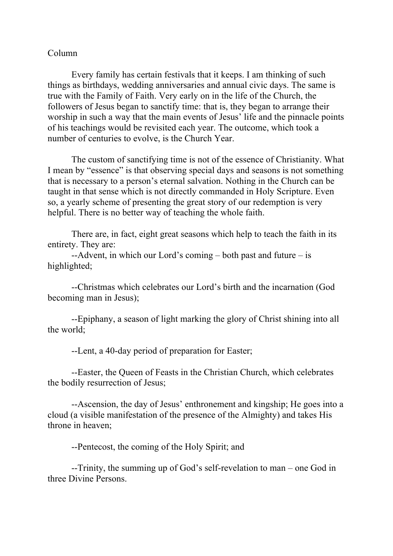## Column

Every family has certain festivals that it keeps. I am thinking of such things as birthdays, wedding anniversaries and annual civic days. The same is true with the Family of Faith. Very early on in the life of the Church, the followers of Jesus began to sanctify time: that is, they began to arrange their worship in such a way that the main events of Jesus' life and the pinnacle points of his teachings would be revisited each year. The outcome, which took a number of centuries to evolve, is the Church Year.

The custom of sanctifying time is not of the essence of Christianity. What I mean by "essence" is that observing special days and seasons is not something that is necessary to a person's eternal salvation. Nothing in the Church can be taught in that sense which is not directly commanded in Holy Scripture. Even so, a yearly scheme of presenting the great story of our redemption is very helpful. There is no better way of teaching the whole faith.

There are, in fact, eight great seasons which help to teach the faith in its entirety. They are:

--Advent, in which our Lord's coming – both past and future – is highlighted;

--Christmas which celebrates our Lord's birth and the incarnation (God becoming man in Jesus);

--Epiphany, a season of light marking the glory of Christ shining into all the world;

--Lent, a 40-day period of preparation for Easter;

--Easter, the Queen of Feasts in the Christian Church, which celebrates the bodily resurrection of Jesus;

--Ascension, the day of Jesus' enthronement and kingship; He goes into a cloud (a visible manifestation of the presence of the Almighty) and takes His throne in heaven;

--Pentecost, the coming of the Holy Spirit; and

--Trinity, the summing up of God's self-revelation to man – one God in three Divine Persons.